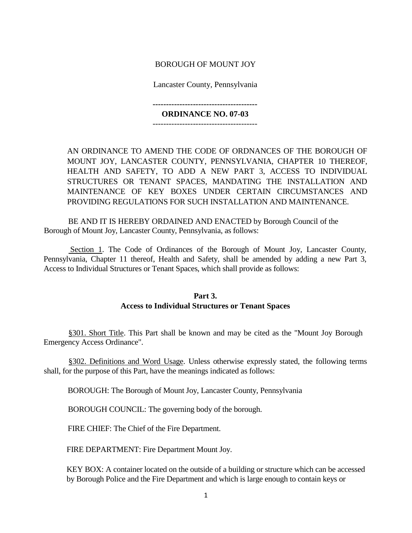## BOROUGH OF MOUNT JOY

Lancaster County, Pennsylvania

## **--------------------------------------- ORDINANCE NO. 07-03**

---------------------------------------

AN ORDINANCE TO AMEND THE CODE OF ORDNANCES OF THE BOROUGH OF MOUNT JOY, LANCASTER COUNTY, PENNSYLVANIA, CHAPTER 10 THEREOF, HEALTH AND SAFETY, TO ADD A NEW PART 3, ACCESS TO INDIVIDUAL STRUCTURES OR TENANT SPACES, MANDATING THE INSTALLATION AND MAINTENANCE OF KEY BOXES UNDER CERTAIN CIRCUMSTANCES AND PROVIDING REGULATIONS FOR SUCH INSTALLATION AND MAINTENANCE.

BE AND IT IS HEREBY ORDAINED AND ENACTED by Borough Council of the Borough of Mount Joy, Lancaster County, Pennsylvania, as follows:

Section 1. The Code of Ordinances of the Borough of Mount Joy, Lancaster County, Pennsylvania, Chapter 11 thereof, Health and Safety, shall be amended by adding a new Part 3, Access to Individual Structures or Tenant Spaces, which shall provide as follows:

## **Part 3. Access to Individual Structures or Tenant Spaces**

§301. Short Title. This Part shall be known and may be cited as the "Mount Joy Borough Emergency Access Ordinance".

§302. Definitions and Word Usage. Unless otherwise expressly stated, the following terms shall, for the purpose of this Part, have the meanings indicated as follows:

BOROUGH: The Borough of Mount Joy, Lancaster County, Pennsylvania

BOROUGH COUNCIL: The governing body of the borough.

FIRE CHIEF: The Chief of the Fire Department.

FIRE DEPARTMENT: Fire Department Mount Joy.

KEY BOX: A container located on the outside of a building or structure which can be accessed by Borough Police and the Fire Department and which is large enough to contain keys or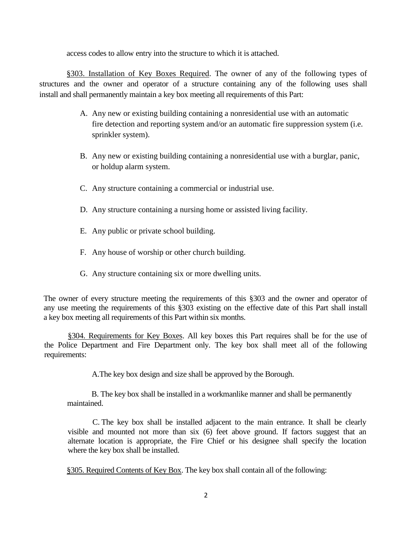access codes to allow entry into the structure to which it is attached.

§303. Installation of Key Boxes Required. The owner of any of the following types of structures and the owner and operator of a structure containing any of the following uses shall install and shall permanently maintain a key box meeting all requirements of this Part:

- A. Any new or existing building containing a nonresidential use with an automatic fire detection and reporting system and/or an automatic fire suppression system (i.e. sprinkler system).
- B. Any new or existing building containing a nonresidential use with a burglar, panic, or holdup alarm system.
- C. Any structure containing a commercial or industrial use.
- D. Any structure containing a nursing home or assisted living facility.
- E. Any public or private school building.
- F. Any house of worship or other church building.
- G. Any structure containing six or more dwelling units.

The owner of every structure meeting the requirements of this §303 and the owner and operator of any use meeting the requirements of this §303 existing on the effective date of this Part shall install a key box meeting all requirements of this Part within six months.

§304. Requirements for Key Boxes. All key boxes this Part requires shall be for the use of the Police Department and Fire Department only. The key box shall meet all of the following requirements:

A.The key box design and size shall be approved by the Borough.

B. The key box shall be installed in a workmanlike manner and shall be permanently maintained.

C. The key box shall be installed adjacent to the main entrance. It shall be clearly visible and mounted not more than six (6) feet above ground. If factors suggest that an alternate location is appropriate, the Fire Chief or his designee shall specify the location where the key box shall be installed.

§305. Required Contents of Key Box. The key box shall contain all of the following: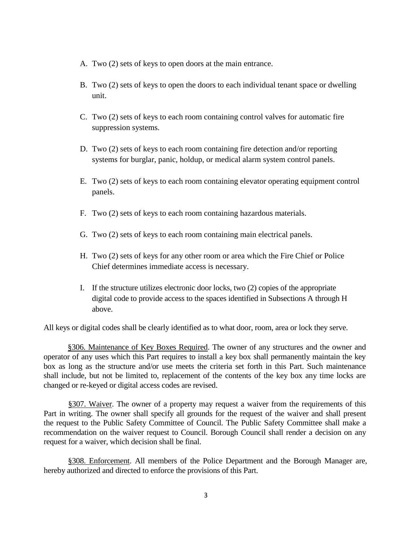- A. Two (2) sets of keys to open doors at the main entrance.
- B. Two (2) sets of keys to open the doors to each individual tenant space or dwelling unit.
- C. Two (2) sets of keys to each room containing control valves for automatic fire suppression systems.
- D. Two (2) sets of keys to each room containing fire detection and/or reporting systems for burglar, panic, holdup, or medical alarm system control panels.
- E. Two (2) sets of keys to each room containing elevator operating equipment control panels.
- F. Two (2) sets of keys to each room containing hazardous materials.
- G. Two (2) sets of keys to each room containing main electrical panels.
- H. Two (2) sets of keys for any other room or area which the Fire Chief or Police Chief determines immediate access is necessary.
- I. If the structure utilizes electronic door locks, two (2) copies of the appropriate digital code to provide access to the spaces identified in Subsections A through H above.

All keys or digital codes shall be clearly identified as to what door, room, area or lock they serve.

§306. Maintenance of Key Boxes Required. The owner of any structures and the owner and operator of any uses which this Part requires to install a key box shall permanently maintain the key box as long as the structure and/or use meets the criteria set forth in this Part. Such maintenance shall include, but not be limited to, replacement of the contents of the key box any time locks are changed or re-keyed or digital access codes are revised.

§307. Waiver. The owner of a property may request a waiver from the requirements of this Part in writing. The owner shall specify all grounds for the request of the waiver and shall present the request to the Public Safety Committee of Council. The Public Safety Committee shall make a recommendation on the waiver request to Council. Borough Council shall render a decision on any request for a waiver, which decision shall be final.

§308. Enforcement. All members of the Police Department and the Borough Manager are, hereby authorized and directed to enforce the provisions of this Part.